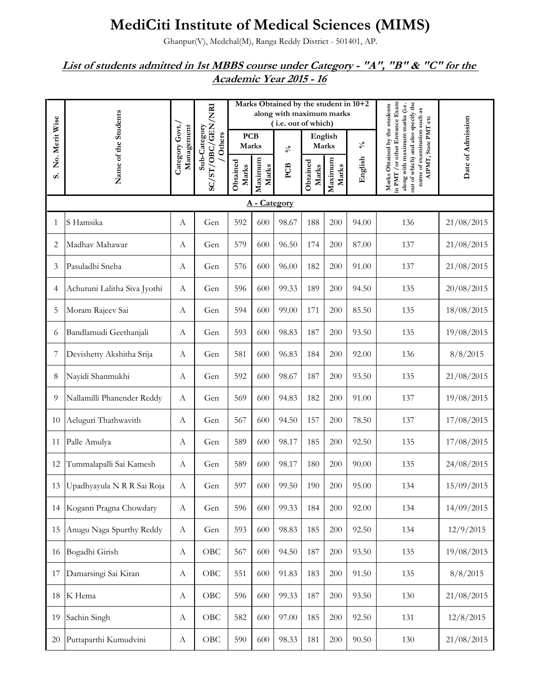## **MediCiti Institute of Medical Sciences (MIMS)**

Ghanpur(V), Medchal(M), Ranga Reddy District - 501401, AP.

## *List of students admitted in 1st MBBS course under Category - "A", "B" & "C" for the Academic Year 2015 - 16*

|                | Name of the Students            |                               |                        | Marks Obtained by the student in 10+2<br>along with maximum marks<br>(i.e. out of which) |                  |                            |                   |                  |                 |                                                                                                                                                                                                  |                   |
|----------------|---------------------------------|-------------------------------|------------------------|------------------------------------------------------------------------------------------|------------------|----------------------------|-------------------|------------------|-----------------|--------------------------------------------------------------------------------------------------------------------------------------------------------------------------------------------------|-------------------|
| No. Merit Wise |                                 | Category Govt./<br>Management | Sub-Category<br>Others | <b>PCB</b><br>Marks                                                                      |                  | $\mathcal{S}_{\mathbf{0}}$ | English<br>Marks  |                  | $\mathcal{N}_0$ |                                                                                                                                                                                                  |                   |
| S.             |                                 |                               | SC/ST/OBC/GEN/NRI      | Obtained<br>Marks                                                                        | Maximum<br>Marks | PCB                        | Obtained<br>Marks | Maximum<br>Marks | English         | out of which) and also specify the<br>in PMT / or other Entrance Exam<br>Marks Obtained by the students<br>along with maximum marks (i.e.<br>name of examination such as<br>AIPMT, State PMT etc | Date of Admission |
|                |                                 |                               |                        |                                                                                          | A - Category     |                            |                   |                  |                 |                                                                                                                                                                                                  |                   |
| 1              | S Hamsika                       | А                             | Gen                    | 592                                                                                      | 600              | 98.67                      | 188               | 200              | 94.00           | 136                                                                                                                                                                                              | 21/08/2015        |
| 2              | Madhav Mahawar                  | А                             | Gen                    | 579                                                                                      | 600              | 96.50                      | 174               | 200              | 87.00           | 137                                                                                                                                                                                              | 21/08/2015        |
| 3              | Pasuladhi Sneha                 | А                             | Gen                    | 576                                                                                      | 600              | 96.00                      | 182               | 200              | 91.00           | 137                                                                                                                                                                                              | 21/08/2015        |
| 4              | Achutuni Lalitha Siva Jyothi    | А                             | Gen                    | 596                                                                                      | 600              | 99.33                      | 189               | 200              | 94.50           | 135                                                                                                                                                                                              | 20/08/2015        |
| 5              | Moram Rajeev Sai                | A                             | Gen                    | 594                                                                                      | 600              | 99.00                      | 171               | 200              | 85.50           | 135                                                                                                                                                                                              | 18/08/2015        |
| 6              | Bandlamudi Geethanjali          | A                             | Gen                    | 593                                                                                      | 600              | 98.83                      | 187               | 200              | 93.50           | 135                                                                                                                                                                                              | 19/08/2015        |
| 7              | Devishetty Akshitha Srija       | А                             | Gen                    | 581                                                                                      | 600              | 96.83                      | 184               | 200              | 92.00           | 136                                                                                                                                                                                              | 8/8/2015          |
| 8              | Nayidi Shanmukhi                | А                             | Gen                    | 592                                                                                      | 600              | 98.67                      | 187               | 200              | 93.50           | 135                                                                                                                                                                                              | 21/08/2015        |
| 9              | Nallamilli Phanender Reddy      | $\boldsymbol{A}$              | Gen                    | 569                                                                                      | 600              | 94.83                      | 182               | 200              | 91.00           | 137                                                                                                                                                                                              | 19/08/2015        |
| 10             | Aeluguri Thathwavith            | А                             | Gen                    | 567                                                                                      | 600              | 94.50                      | 157               | 200              | 78.50           | 137                                                                                                                                                                                              | 17/08/2015        |
| 11             | Palle Amulya                    | A                             | Gen                    | 589                                                                                      | 600              | 98.17                      | 185               | 200              | 92.50           | 135                                                                                                                                                                                              | 17/08/2015        |
| 12             | Tummalapalli Sai Kamesh         | $\boldsymbol{A}$              | Gen                    | 589                                                                                      | 600              | 98.17                      | 180               | 200              | 90.00           | 135                                                                                                                                                                                              | 24/08/2015        |
|                | 13   Upadhyayula N R R Sai Roja | А                             | Gen                    | 597                                                                                      | 600              | 99.50                      | 190               | 200              | 95.00           | 134                                                                                                                                                                                              | 15/09/2015        |
|                | 14 Koganti Pragna Chowdary      | A                             | Gen                    | 596                                                                                      | 600              | 99.33                      | 184               | 200              | 92.00           | 134                                                                                                                                                                                              | 14/09/2015        |
| 15             | Anugu Naga Spurthy Reddy        | $\boldsymbol{\mathrm{A}}$     | Gen                    | 593                                                                                      | 600              | 98.83                      | 185               | 200              | 92.50           | 134                                                                                                                                                                                              | 12/9/2015         |
| 16             | Bogadhi Girish                  | А                             | OBC                    | 567                                                                                      | 600              | 94.50                      | 187               | 200              | 93.50           | 135                                                                                                                                                                                              | 19/08/2015        |
| 17             | Damarsingi Sai Kiran            | А                             | OBC                    | 551                                                                                      | 600              | 91.83                      | 183               | 200              | 91.50           | 135                                                                                                                                                                                              | 8/8/2015          |
| 18             | K Hema                          | А                             | OBC                    | 596                                                                                      | 600              | 99.33                      | 187               | 200              | 93.50           | 130                                                                                                                                                                                              | 21/08/2015        |
| 19             | Sachin Singh                    | А                             | OBC                    | 582                                                                                      | 600              | 97.00                      | 185               | 200              | 92.50           | 131                                                                                                                                                                                              | 12/8/2015         |
| 20             | Puttaparthi Kumudvini           | А                             | OBC                    | 590                                                                                      | 600              | 98.33                      | 181               | 200              | 90.50           | 130                                                                                                                                                                                              | 21/08/2015        |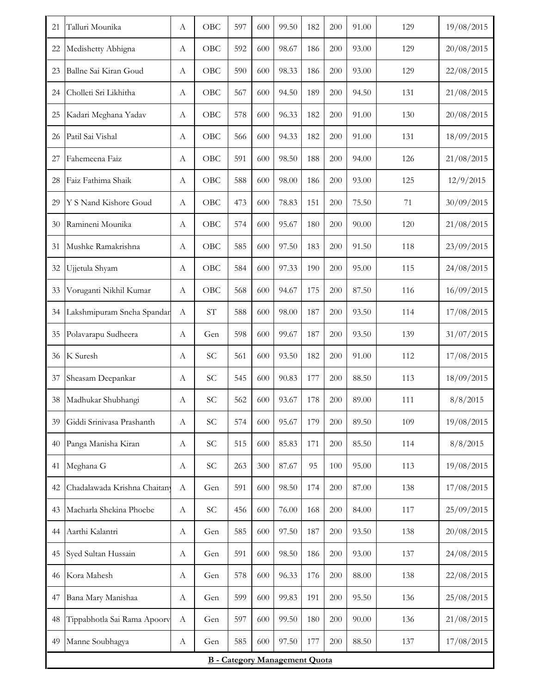| 21                                   | Talluri Mounika              | А                | OBC                 | 597 | 600 | 99.50 | 182 | 200 | 91.00 | 129 | 19/08/2015 |
|--------------------------------------|------------------------------|------------------|---------------------|-----|-----|-------|-----|-----|-------|-----|------------|
| 22                                   | Medishetty Abhigna           | А                | OBC                 | 592 | 600 | 98.67 | 186 | 200 | 93.00 | 129 | 20/08/2015 |
| 23                                   | Ballne Sai Kiran Goud        | А                | OBC                 | 590 | 600 | 98.33 | 186 | 200 | 93.00 | 129 | 22/08/2015 |
| 24                                   | Cholleti Sri Likhitha        | А                | OBC                 | 567 | 600 | 94.50 | 189 | 200 | 94.50 | 131 | 21/08/2015 |
| 25                                   | Kadari Meghana Yadav         | А                | OBC                 | 578 | 600 | 96.33 | 182 | 200 | 91.00 | 130 | 20/08/2015 |
| 26                                   | Patil Sai Vishal             | А                | OBC                 | 566 | 600 | 94.33 | 182 | 200 | 91.00 | 131 | 18/09/2015 |
| 27                                   | Fahemeena Faiz               | A                | OBC                 | 591 | 600 | 98.50 | 188 | 200 | 94.00 | 126 | 21/08/2015 |
| 28                                   | Faiz Fathima Shaik           | А                | OBC                 | 588 | 600 | 98.00 | 186 | 200 | 93.00 | 125 | 12/9/2015  |
| 29                                   | Y S Nand Kishore Goud        | A                | OBC                 | 473 | 600 | 78.83 | 151 | 200 | 75.50 | 71  | 30/09/2015 |
| 30                                   | Ramineni Mounika             | А                | OBC                 | 574 | 600 | 95.67 | 180 | 200 | 90.00 | 120 | 21/08/2015 |
| 31                                   | Mushke Ramakrishna           | А                | OBC                 | 585 | 600 | 97.50 | 183 | 200 | 91.50 | 118 | 23/09/2015 |
| 32                                   | Ujjetula Shyam               | A                | OBC                 | 584 | 600 | 97.33 | 190 | 200 | 95.00 | 115 | 24/08/2015 |
| 33                                   | Voruganti Nikhil Kumar       | A                | OBC                 | 568 | 600 | 94.67 | 175 | 200 | 87.50 | 116 | 16/09/2015 |
| 34                                   | Lakshmipuram Sneha Spandar   | $\boldsymbol{A}$ | $\operatorname{ST}$ | 588 | 600 | 98.00 | 187 | 200 | 93.50 | 114 | 17/08/2015 |
| 35                                   | Polavarapu Sudheera          | А                | Gen                 | 598 | 600 | 99.67 | 187 | 200 | 93.50 | 139 | 31/07/2015 |
| 36                                   | K Suresh                     | А                | SC                  | 561 | 600 | 93.50 | 182 | 200 | 91.00 | 112 | 17/08/2015 |
| 37                                   | Sheasam Deepankar            | А                | <b>SC</b>           | 545 | 600 | 90.83 | 177 | 200 | 88.50 | 113 | 18/09/2015 |
| 38                                   | Madhukar Shubhangi           | A                | SC                  | 562 | 600 | 93.67 | 178 | 200 | 89.00 | 111 | 8/8/2015   |
| 39                                   | Giddi Srinivasa Prashanth    | A                | SC                  | 574 | 600 | 95.67 | 179 | 200 | 89.50 | 109 | 19/08/2015 |
| 40                                   | Panga Manisha Kiran          | A                | SC                  | 515 | 600 | 85.83 | 171 | 200 | 85.50 | 114 | 8/8/2015   |
| 41                                   | Meghana G                    | А                | SC                  | 263 | 300 | 87.67 | 95  | 100 | 95.00 | 113 | 19/08/2015 |
| 42                                   | Chadalawada Krishna Chaitany | A                | Gen                 | 591 | 600 | 98.50 | 174 | 200 | 87.00 | 138 | 17/08/2015 |
| 43                                   | Macharla Shekina Phoebe      | $\boldsymbol{A}$ | SC                  | 456 | 600 | 76.00 | 168 | 200 | 84.00 | 117 | 25/09/2015 |
| 44                                   | Aarthi Kalantri              | A                | Gen                 | 585 | 600 | 97.50 | 187 | 200 | 93.50 | 138 | 20/08/2015 |
| 45                                   | Syed Sultan Hussain          | А                | Gen                 | 591 | 600 | 98.50 | 186 | 200 | 93.00 | 137 | 24/08/2015 |
| 46                                   | Kora Mahesh                  | A                | Gen                 | 578 | 600 | 96.33 | 176 | 200 | 88.00 | 138 | 22/08/2015 |
| 47                                   | Bana Mary Manishaa           | А                | Gen                 | 599 | 600 | 99.83 | 191 | 200 | 95.50 | 136 | 25/08/2015 |
| 48                                   | Tippabhotla Sai Rama Apoorv  | A                | Gen                 | 597 | 600 | 99.50 | 180 | 200 | 90.00 | 136 | 21/08/2015 |
| 49                                   | Manne Soubhagya              | A                | Gen                 | 585 | 600 | 97.50 | 177 | 200 | 88.50 | 137 | 17/08/2015 |
| <b>B</b> - Category Management Quota |                              |                  |                     |     |     |       |     |     |       |     |            |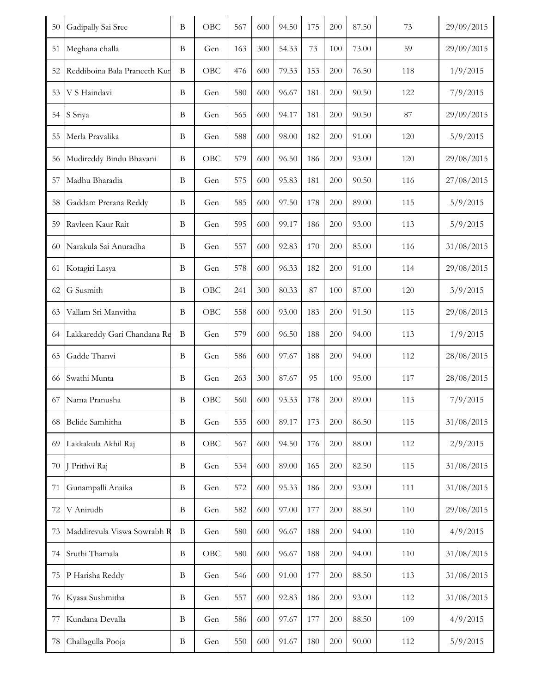| Meghana challa<br>54.33<br>73.00<br>29/09/2015<br>B<br>Gen<br>163<br>300<br>73<br>100<br>59<br>51<br>Reddiboina Bala Praneeth Kur<br>$\, {\bf B}$<br>OBC<br>79.33<br>1/9/2015<br>476<br>600<br>153<br>200<br>76.50<br>118<br>52<br>V S Haindavi<br>7/9/2015<br>53<br>B<br>580<br>600<br>96.67<br>181<br>200<br>90.50<br>122<br>Gen<br>S Sriya<br>$87\,$<br>29/09/2015<br>54<br>B<br>Gen<br>565<br>600<br>94.17<br>181<br>200<br>90.50<br>Merla Pravalika<br>588<br>600<br>98.00<br>182<br>5/9/2015<br>55<br>B<br>200<br>91.00<br>120<br>Gen<br>56 Mudireddy Bindu Bhavani<br>OBC<br>579<br>29/08/2015<br>B<br>600<br>96.50<br>186<br>200<br>93.00<br>120<br>Madhu Bharadia<br>$\bf{B}$<br>575<br>600<br>95.83<br>181<br>27/08/2015<br>57<br>Gen<br>200<br>90.50<br>116<br>585<br>600<br>97.50<br>58<br>Gaddam Prerana Reddy<br>B<br>Gen<br>178<br>200<br>89.00<br>115<br>5/9/2015<br>Ravleen Kaur Rait<br>5/9/2015<br>59<br>B<br>Gen<br>595<br>600<br>99.17<br>186<br>200<br>93.00<br>113<br>Narakula Sai Anuradha<br>92.83<br>85.00<br>31/08/2015<br>B<br>557<br>600<br>170<br>200<br>116<br>60<br>Gen<br>Kotagiri Lasya<br>578<br>600<br>96.33<br>182<br>B<br>Gen<br>200<br>91.00<br>29/08/2015<br>61<br>114<br>G Susmith<br>OBC<br>80.33<br>87.00<br>3/9/2015<br>62<br>B<br>241<br>300<br>87<br>100<br>120<br>Vallam Sri Manvitha<br>OBC<br>558<br>93.00<br>183<br>91.50<br>29/08/2015<br>B<br>600<br>200<br>115<br>63<br>579<br>1/9/2015<br>Lakkareddy Gari Chandana Re<br>B<br>600<br>96.50<br>188<br>200<br>94.00<br>113<br>64<br>Gen<br>Gadde Thanvi<br>97.67<br>65<br>B<br>586<br>600<br>188<br>200<br>94.00<br>112<br>28/08/2015<br>Gen<br>Swathi Munta<br>87.67<br>95<br>95.00<br>28/08/2015<br>B<br>263<br>300<br>100<br>117<br>66<br>Gen<br>OBC<br>67 Nama Pranusha<br>$\, {\bf B}$<br>560<br>600<br>93.33<br>178<br>200<br>89.00<br>7/9/2015<br>113<br>89.17<br>31/08/2015<br>Belide Samhitha<br>535<br>600<br>173<br>200<br>86.50<br>115<br>B<br>Gen<br>68<br>Lakkakula Akhil Raj<br>$\, {\bf B}$<br>OBC<br>567<br>94.50<br>88.00<br>2/9/2015<br>69<br>600<br>176<br>200<br>112<br>J Prithvi Raj<br>89.00<br>82.50<br>31/08/2015<br>B<br>534<br>600<br>165<br>200<br>115<br>70<br>Gen<br>Gunampalli Anaika<br>572<br>111<br>31/08/2015<br>71<br>$\, {\bf B}$<br>600<br>95.33<br>186<br>200<br>93.00<br>Gen<br>V Anirudh<br>582<br>600<br>97.00<br>177<br>88.50<br>110<br>29/08/2015<br>72<br>B<br>200<br>Gen<br>Maddirevula Viswa Sowrabh R<br>580<br>600<br>96.67<br>188<br>94.00<br>4/9/2015<br>73<br>B<br>Gen<br>200<br>110<br>Sruthi Thamala<br>580<br>600<br>96.67<br>188<br>110<br>31/08/2015<br>B<br>OBC<br>200<br>94.00<br>74<br>P Harisha Reddy<br>$\, {\bf B}$<br>546<br>600<br>177<br>88.50<br>31/08/2015<br>75<br>Gen<br>91.00<br>200<br>113<br>Kyasa Sushmitha<br>557<br>31/08/2015<br>$\, {\bf B}$<br>Gen<br>600<br>92.83<br>186<br>200<br>93.00<br>112<br>76<br>Kundana Devalla<br>600<br>97.67<br>177<br>88.50<br>109<br>4/9/2015<br>77<br>B<br>586<br>200<br>Gen<br>Challagulla Pooja<br>550<br>600<br>90.00<br>5/9/2015<br>78<br>B<br>Gen<br>91.67<br>180<br>200<br>112 | 50 | Gadipally Sai Sree | $\bf{B}$ | OBC | 567 | 600 | 94.50 | 175 | 200 | 87.50 | 73 | 29/09/2015 |
|---------------------------------------------------------------------------------------------------------------------------------------------------------------------------------------------------------------------------------------------------------------------------------------------------------------------------------------------------------------------------------------------------------------------------------------------------------------------------------------------------------------------------------------------------------------------------------------------------------------------------------------------------------------------------------------------------------------------------------------------------------------------------------------------------------------------------------------------------------------------------------------------------------------------------------------------------------------------------------------------------------------------------------------------------------------------------------------------------------------------------------------------------------------------------------------------------------------------------------------------------------------------------------------------------------------------------------------------------------------------------------------------------------------------------------------------------------------------------------------------------------------------------------------------------------------------------------------------------------------------------------------------------------------------------------------------------------------------------------------------------------------------------------------------------------------------------------------------------------------------------------------------------------------------------------------------------------------------------------------------------------------------------------------------------------------------------------------------------------------------------------------------------------------------------------------------------------------------------------------------------------------------------------------------------------------------------------------------------------------------------------------------------------------------------------------------------------------------------------------------------------------------------------------------------------------------------------------------------------------------------------------------------------------------------------------------------------------------------------------------------------------------------------------------------------------------------------------------------------------------------------------------------------------------------------------------------------------------------------------------------------------------------------------------------------------------------------------------------------|----|--------------------|----------|-----|-----|-----|-------|-----|-----|-------|----|------------|
|                                                                                                                                                                                                                                                                                                                                                                                                                                                                                                                                                                                                                                                                                                                                                                                                                                                                                                                                                                                                                                                                                                                                                                                                                                                                                                                                                                                                                                                                                                                                                                                                                                                                                                                                                                                                                                                                                                                                                                                                                                                                                                                                                                                                                                                                                                                                                                                                                                                                                                                                                                                                                                                                                                                                                                                                                                                                                                                                                                                                                                                                                                         |    |                    |          |     |     |     |       |     |     |       |    |            |
|                                                                                                                                                                                                                                                                                                                                                                                                                                                                                                                                                                                                                                                                                                                                                                                                                                                                                                                                                                                                                                                                                                                                                                                                                                                                                                                                                                                                                                                                                                                                                                                                                                                                                                                                                                                                                                                                                                                                                                                                                                                                                                                                                                                                                                                                                                                                                                                                                                                                                                                                                                                                                                                                                                                                                                                                                                                                                                                                                                                                                                                                                                         |    |                    |          |     |     |     |       |     |     |       |    |            |
|                                                                                                                                                                                                                                                                                                                                                                                                                                                                                                                                                                                                                                                                                                                                                                                                                                                                                                                                                                                                                                                                                                                                                                                                                                                                                                                                                                                                                                                                                                                                                                                                                                                                                                                                                                                                                                                                                                                                                                                                                                                                                                                                                                                                                                                                                                                                                                                                                                                                                                                                                                                                                                                                                                                                                                                                                                                                                                                                                                                                                                                                                                         |    |                    |          |     |     |     |       |     |     |       |    |            |
|                                                                                                                                                                                                                                                                                                                                                                                                                                                                                                                                                                                                                                                                                                                                                                                                                                                                                                                                                                                                                                                                                                                                                                                                                                                                                                                                                                                                                                                                                                                                                                                                                                                                                                                                                                                                                                                                                                                                                                                                                                                                                                                                                                                                                                                                                                                                                                                                                                                                                                                                                                                                                                                                                                                                                                                                                                                                                                                                                                                                                                                                                                         |    |                    |          |     |     |     |       |     |     |       |    |            |
|                                                                                                                                                                                                                                                                                                                                                                                                                                                                                                                                                                                                                                                                                                                                                                                                                                                                                                                                                                                                                                                                                                                                                                                                                                                                                                                                                                                                                                                                                                                                                                                                                                                                                                                                                                                                                                                                                                                                                                                                                                                                                                                                                                                                                                                                                                                                                                                                                                                                                                                                                                                                                                                                                                                                                                                                                                                                                                                                                                                                                                                                                                         |    |                    |          |     |     |     |       |     |     |       |    |            |
|                                                                                                                                                                                                                                                                                                                                                                                                                                                                                                                                                                                                                                                                                                                                                                                                                                                                                                                                                                                                                                                                                                                                                                                                                                                                                                                                                                                                                                                                                                                                                                                                                                                                                                                                                                                                                                                                                                                                                                                                                                                                                                                                                                                                                                                                                                                                                                                                                                                                                                                                                                                                                                                                                                                                                                                                                                                                                                                                                                                                                                                                                                         |    |                    |          |     |     |     |       |     |     |       |    |            |
|                                                                                                                                                                                                                                                                                                                                                                                                                                                                                                                                                                                                                                                                                                                                                                                                                                                                                                                                                                                                                                                                                                                                                                                                                                                                                                                                                                                                                                                                                                                                                                                                                                                                                                                                                                                                                                                                                                                                                                                                                                                                                                                                                                                                                                                                                                                                                                                                                                                                                                                                                                                                                                                                                                                                                                                                                                                                                                                                                                                                                                                                                                         |    |                    |          |     |     |     |       |     |     |       |    |            |
|                                                                                                                                                                                                                                                                                                                                                                                                                                                                                                                                                                                                                                                                                                                                                                                                                                                                                                                                                                                                                                                                                                                                                                                                                                                                                                                                                                                                                                                                                                                                                                                                                                                                                                                                                                                                                                                                                                                                                                                                                                                                                                                                                                                                                                                                                                                                                                                                                                                                                                                                                                                                                                                                                                                                                                                                                                                                                                                                                                                                                                                                                                         |    |                    |          |     |     |     |       |     |     |       |    |            |
|                                                                                                                                                                                                                                                                                                                                                                                                                                                                                                                                                                                                                                                                                                                                                                                                                                                                                                                                                                                                                                                                                                                                                                                                                                                                                                                                                                                                                                                                                                                                                                                                                                                                                                                                                                                                                                                                                                                                                                                                                                                                                                                                                                                                                                                                                                                                                                                                                                                                                                                                                                                                                                                                                                                                                                                                                                                                                                                                                                                                                                                                                                         |    |                    |          |     |     |     |       |     |     |       |    |            |
|                                                                                                                                                                                                                                                                                                                                                                                                                                                                                                                                                                                                                                                                                                                                                                                                                                                                                                                                                                                                                                                                                                                                                                                                                                                                                                                                                                                                                                                                                                                                                                                                                                                                                                                                                                                                                                                                                                                                                                                                                                                                                                                                                                                                                                                                                                                                                                                                                                                                                                                                                                                                                                                                                                                                                                                                                                                                                                                                                                                                                                                                                                         |    |                    |          |     |     |     |       |     |     |       |    |            |
|                                                                                                                                                                                                                                                                                                                                                                                                                                                                                                                                                                                                                                                                                                                                                                                                                                                                                                                                                                                                                                                                                                                                                                                                                                                                                                                                                                                                                                                                                                                                                                                                                                                                                                                                                                                                                                                                                                                                                                                                                                                                                                                                                                                                                                                                                                                                                                                                                                                                                                                                                                                                                                                                                                                                                                                                                                                                                                                                                                                                                                                                                                         |    |                    |          |     |     |     |       |     |     |       |    |            |
|                                                                                                                                                                                                                                                                                                                                                                                                                                                                                                                                                                                                                                                                                                                                                                                                                                                                                                                                                                                                                                                                                                                                                                                                                                                                                                                                                                                                                                                                                                                                                                                                                                                                                                                                                                                                                                                                                                                                                                                                                                                                                                                                                                                                                                                                                                                                                                                                                                                                                                                                                                                                                                                                                                                                                                                                                                                                                                                                                                                                                                                                                                         |    |                    |          |     |     |     |       |     |     |       |    |            |
|                                                                                                                                                                                                                                                                                                                                                                                                                                                                                                                                                                                                                                                                                                                                                                                                                                                                                                                                                                                                                                                                                                                                                                                                                                                                                                                                                                                                                                                                                                                                                                                                                                                                                                                                                                                                                                                                                                                                                                                                                                                                                                                                                                                                                                                                                                                                                                                                                                                                                                                                                                                                                                                                                                                                                                                                                                                                                                                                                                                                                                                                                                         |    |                    |          |     |     |     |       |     |     |       |    |            |
|                                                                                                                                                                                                                                                                                                                                                                                                                                                                                                                                                                                                                                                                                                                                                                                                                                                                                                                                                                                                                                                                                                                                                                                                                                                                                                                                                                                                                                                                                                                                                                                                                                                                                                                                                                                                                                                                                                                                                                                                                                                                                                                                                                                                                                                                                                                                                                                                                                                                                                                                                                                                                                                                                                                                                                                                                                                                                                                                                                                                                                                                                                         |    |                    |          |     |     |     |       |     |     |       |    |            |
|                                                                                                                                                                                                                                                                                                                                                                                                                                                                                                                                                                                                                                                                                                                                                                                                                                                                                                                                                                                                                                                                                                                                                                                                                                                                                                                                                                                                                                                                                                                                                                                                                                                                                                                                                                                                                                                                                                                                                                                                                                                                                                                                                                                                                                                                                                                                                                                                                                                                                                                                                                                                                                                                                                                                                                                                                                                                                                                                                                                                                                                                                                         |    |                    |          |     |     |     |       |     |     |       |    |            |
|                                                                                                                                                                                                                                                                                                                                                                                                                                                                                                                                                                                                                                                                                                                                                                                                                                                                                                                                                                                                                                                                                                                                                                                                                                                                                                                                                                                                                                                                                                                                                                                                                                                                                                                                                                                                                                                                                                                                                                                                                                                                                                                                                                                                                                                                                                                                                                                                                                                                                                                                                                                                                                                                                                                                                                                                                                                                                                                                                                                                                                                                                                         |    |                    |          |     |     |     |       |     |     |       |    |            |
|                                                                                                                                                                                                                                                                                                                                                                                                                                                                                                                                                                                                                                                                                                                                                                                                                                                                                                                                                                                                                                                                                                                                                                                                                                                                                                                                                                                                                                                                                                                                                                                                                                                                                                                                                                                                                                                                                                                                                                                                                                                                                                                                                                                                                                                                                                                                                                                                                                                                                                                                                                                                                                                                                                                                                                                                                                                                                                                                                                                                                                                                                                         |    |                    |          |     |     |     |       |     |     |       |    |            |
|                                                                                                                                                                                                                                                                                                                                                                                                                                                                                                                                                                                                                                                                                                                                                                                                                                                                                                                                                                                                                                                                                                                                                                                                                                                                                                                                                                                                                                                                                                                                                                                                                                                                                                                                                                                                                                                                                                                                                                                                                                                                                                                                                                                                                                                                                                                                                                                                                                                                                                                                                                                                                                                                                                                                                                                                                                                                                                                                                                                                                                                                                                         |    |                    |          |     |     |     |       |     |     |       |    |            |
|                                                                                                                                                                                                                                                                                                                                                                                                                                                                                                                                                                                                                                                                                                                                                                                                                                                                                                                                                                                                                                                                                                                                                                                                                                                                                                                                                                                                                                                                                                                                                                                                                                                                                                                                                                                                                                                                                                                                                                                                                                                                                                                                                                                                                                                                                                                                                                                                                                                                                                                                                                                                                                                                                                                                                                                                                                                                                                                                                                                                                                                                                                         |    |                    |          |     |     |     |       |     |     |       |    |            |
|                                                                                                                                                                                                                                                                                                                                                                                                                                                                                                                                                                                                                                                                                                                                                                                                                                                                                                                                                                                                                                                                                                                                                                                                                                                                                                                                                                                                                                                                                                                                                                                                                                                                                                                                                                                                                                                                                                                                                                                                                                                                                                                                                                                                                                                                                                                                                                                                                                                                                                                                                                                                                                                                                                                                                                                                                                                                                                                                                                                                                                                                                                         |    |                    |          |     |     |     |       |     |     |       |    |            |
|                                                                                                                                                                                                                                                                                                                                                                                                                                                                                                                                                                                                                                                                                                                                                                                                                                                                                                                                                                                                                                                                                                                                                                                                                                                                                                                                                                                                                                                                                                                                                                                                                                                                                                                                                                                                                                                                                                                                                                                                                                                                                                                                                                                                                                                                                                                                                                                                                                                                                                                                                                                                                                                                                                                                                                                                                                                                                                                                                                                                                                                                                                         |    |                    |          |     |     |     |       |     |     |       |    |            |
|                                                                                                                                                                                                                                                                                                                                                                                                                                                                                                                                                                                                                                                                                                                                                                                                                                                                                                                                                                                                                                                                                                                                                                                                                                                                                                                                                                                                                                                                                                                                                                                                                                                                                                                                                                                                                                                                                                                                                                                                                                                                                                                                                                                                                                                                                                                                                                                                                                                                                                                                                                                                                                                                                                                                                                                                                                                                                                                                                                                                                                                                                                         |    |                    |          |     |     |     |       |     |     |       |    |            |
|                                                                                                                                                                                                                                                                                                                                                                                                                                                                                                                                                                                                                                                                                                                                                                                                                                                                                                                                                                                                                                                                                                                                                                                                                                                                                                                                                                                                                                                                                                                                                                                                                                                                                                                                                                                                                                                                                                                                                                                                                                                                                                                                                                                                                                                                                                                                                                                                                                                                                                                                                                                                                                                                                                                                                                                                                                                                                                                                                                                                                                                                                                         |    |                    |          |     |     |     |       |     |     |       |    |            |
|                                                                                                                                                                                                                                                                                                                                                                                                                                                                                                                                                                                                                                                                                                                                                                                                                                                                                                                                                                                                                                                                                                                                                                                                                                                                                                                                                                                                                                                                                                                                                                                                                                                                                                                                                                                                                                                                                                                                                                                                                                                                                                                                                                                                                                                                                                                                                                                                                                                                                                                                                                                                                                                                                                                                                                                                                                                                                                                                                                                                                                                                                                         |    |                    |          |     |     |     |       |     |     |       |    |            |
|                                                                                                                                                                                                                                                                                                                                                                                                                                                                                                                                                                                                                                                                                                                                                                                                                                                                                                                                                                                                                                                                                                                                                                                                                                                                                                                                                                                                                                                                                                                                                                                                                                                                                                                                                                                                                                                                                                                                                                                                                                                                                                                                                                                                                                                                                                                                                                                                                                                                                                                                                                                                                                                                                                                                                                                                                                                                                                                                                                                                                                                                                                         |    |                    |          |     |     |     |       |     |     |       |    |            |
|                                                                                                                                                                                                                                                                                                                                                                                                                                                                                                                                                                                                                                                                                                                                                                                                                                                                                                                                                                                                                                                                                                                                                                                                                                                                                                                                                                                                                                                                                                                                                                                                                                                                                                                                                                                                                                                                                                                                                                                                                                                                                                                                                                                                                                                                                                                                                                                                                                                                                                                                                                                                                                                                                                                                                                                                                                                                                                                                                                                                                                                                                                         |    |                    |          |     |     |     |       |     |     |       |    |            |
|                                                                                                                                                                                                                                                                                                                                                                                                                                                                                                                                                                                                                                                                                                                                                                                                                                                                                                                                                                                                                                                                                                                                                                                                                                                                                                                                                                                                                                                                                                                                                                                                                                                                                                                                                                                                                                                                                                                                                                                                                                                                                                                                                                                                                                                                                                                                                                                                                                                                                                                                                                                                                                                                                                                                                                                                                                                                                                                                                                                                                                                                                                         |    |                    |          |     |     |     |       |     |     |       |    |            |
|                                                                                                                                                                                                                                                                                                                                                                                                                                                                                                                                                                                                                                                                                                                                                                                                                                                                                                                                                                                                                                                                                                                                                                                                                                                                                                                                                                                                                                                                                                                                                                                                                                                                                                                                                                                                                                                                                                                                                                                                                                                                                                                                                                                                                                                                                                                                                                                                                                                                                                                                                                                                                                                                                                                                                                                                                                                                                                                                                                                                                                                                                                         |    |                    |          |     |     |     |       |     |     |       |    |            |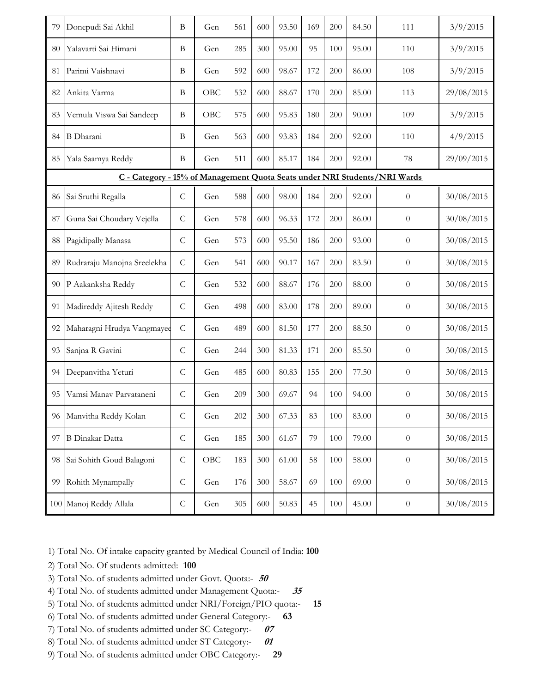| 79                                                                        | Donepudi Sai Akhil          | B              | Gen | 561 | 600 | 93.50 | 169 | 200 | 84.50 | 111              | 3/9/2015   |  |
|---------------------------------------------------------------------------|-----------------------------|----------------|-----|-----|-----|-------|-----|-----|-------|------------------|------------|--|
| 80                                                                        | Yalavarti Sai Himani        | B              | Gen | 285 | 300 | 95.00 | 95  | 100 | 95.00 | 110              | 3/9/2015   |  |
| 81                                                                        | Parimi Vaishnavi            | B              | Gen | 592 | 600 | 98.67 | 172 | 200 | 86.00 | 108              | 3/9/2015   |  |
| 82                                                                        | Ankita Varma                | B              | OBC | 532 | 600 | 88.67 | 170 | 200 | 85.00 | 113              | 29/08/2015 |  |
| 83                                                                        | Vemula Viswa Sai Sandeep    | B              | OBC | 575 | 600 | 95.83 | 180 | 200 | 90.00 | 109              | 3/9/2015   |  |
| 84                                                                        | <b>B</b> Dharani            | B              | Gen | 563 | 600 | 93.83 | 184 | 200 | 92.00 | 110              | 4/9/2015   |  |
| 85                                                                        | Yala Saamya Reddy           | B              | Gen | 511 | 600 | 85.17 | 184 | 200 | 92.00 | 78               | 29/09/2015 |  |
| C - Category - 15% of Management Quota Seats under NRI Students/NRI Wards |                             |                |     |     |     |       |     |     |       |                  |            |  |
| 86                                                                        | Sai Sruthi Regalla          | ${\cal C}$     | Gen | 588 | 600 | 98.00 | 184 | 200 | 92.00 | $\boldsymbol{0}$ | 30/08/2015 |  |
| 87                                                                        | Guna Sai Choudary Vejella   | $\mathsf{C}$   | Gen | 578 | 600 | 96.33 | 172 | 200 | 86.00 | $\theta$         | 30/08/2015 |  |
| 88                                                                        | Pagidipally Manasa          | $\mathsf C$    | Gen | 573 | 600 | 95.50 | 186 | 200 | 93.00 | $\boldsymbol{0}$ | 30/08/2015 |  |
| 89                                                                        | Rudraraju Manojna Sreelekha | $\overline{C}$ | Gen | 541 | 600 | 90.17 | 167 | 200 | 83.50 | $\boldsymbol{0}$ | 30/08/2015 |  |
| 90                                                                        | P Aakanksha Reddy           | $\mathcal{C}$  | Gen | 532 | 600 | 88.67 | 176 | 200 | 88.00 | $\theta$         | 30/08/2015 |  |
| 91                                                                        | Madireddy Ajitesh Reddy     | $\mathsf{C}$   | Gen | 498 | 600 | 83.00 | 178 | 200 | 89.00 | $\theta$         | 30/08/2015 |  |
| 92                                                                        | Maharagni Hrudya Vangmayee  | $\overline{C}$ | Gen | 489 | 600 | 81.50 | 177 | 200 | 88.50 | $\theta$         | 30/08/2015 |  |
| 93                                                                        | Sanjna R Gavini             | $\mathsf{C}$   | Gen | 244 | 300 | 81.33 | 171 | 200 | 85.50 | $\theta$         | 30/08/2015 |  |
| 94                                                                        | Deepanvitha Yeturi          | $\mathcal{C}$  | Gen | 485 | 600 | 80.83 | 155 | 200 | 77.50 | $\boldsymbol{0}$ | 30/08/2015 |  |
| 95                                                                        | Vamsi Manav Parvataneni     | $\mathsf{C}$   | Gen | 209 | 300 | 69.67 | 94  | 100 | 94.00 | $\theta$         | 30/08/2015 |  |
| 96                                                                        | Manvitha Reddy Kolan        | $\mathsf C$    | Gen | 202 | 300 | 67.33 | 83  | 100 | 83.00 | $\boldsymbol{0}$ | 30/08/2015 |  |
| 97                                                                        | <b>B</b> Dinakar Datta      | $\mathsf C$    | Gen | 185 | 300 | 61.67 | 79  | 100 | 79.00 | $\boldsymbol{0}$ | 30/08/2015 |  |
| 98                                                                        | Sai Sohith Goud Balagoni    | $\mathsf C$    | OBC | 183 | 300 | 61.00 | 58  | 100 | 58.00 | $\boldsymbol{0}$ | 30/08/2015 |  |
| 99                                                                        | Rohith Mynampally           | $\mathsf C$    | Gen | 176 | 300 | 58.67 | 69  | 100 | 69.00 | $\boldsymbol{0}$ | 30/08/2015 |  |
|                                                                           | 100 Manoj Reddy Allala      | $\mathsf C$    | Gen | 305 | 600 | 50.83 | 45  | 100 | 45.00 | $\boldsymbol{0}$ | 30/08/2015 |  |

1) Total No. Of intake capacity granted by Medical Council of India: **100**

- 2) Total No. Of students admitted: **100**
- 3) Total No. of students admitted under Govt. Quota:- *<sup>50</sup>*
- 4) Total No. of students admitted under Management Quota:- *<sup>35</sup>*
- 5) Total No. of students admitted under NRI/Foreign/PIO quota:- **15**
- 6) Total No. of students admitted under General Category:- **63**
- 7) Total No. of students admitted under SC Category:- *<sup>07</sup>*
- 8) Total No. of students admitted under ST Category:- *<sup>01</sup>*
- 9) Total No. of students admitted under OBC Category:- **29**